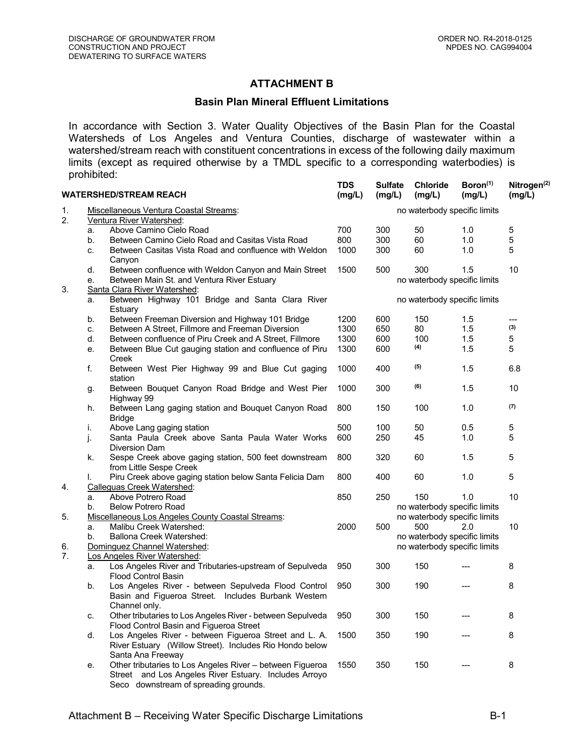## **ATTACHMENT B**

## **Basin Plan Mineral Effluent Limitations**

In accordance with Section 3. Water Quality Objectives of the Basin Plan for the Coastal Watersheds of Los Angeles and Ventura Counties, discharge of wastewater within a watershed/stream reach with constituent concentrations in excess of the following daily maximum limits (except as required otherwise by a TMDL specific to a corresponding waterbodies) is prohibited:

**TDS**

| <b>WATERSHED/STREAM REACH</b> |                                                                    |                                                                                                                                                                                  | <b>TDS</b><br>(mg/L) | <b>Sulfate</b><br>(mg/L)     | <b>Chloride</b><br>(mg/L)    | Boron <sup>(1)</sup><br>(mg/L) | Nitrogen <sup>(2)</sup><br>(mg/L) |  |  |
|-------------------------------|--------------------------------------------------------------------|----------------------------------------------------------------------------------------------------------------------------------------------------------------------------------|----------------------|------------------------------|------------------------------|--------------------------------|-----------------------------------|--|--|
| 1.<br>2.                      | Miscellaneous Ventura Coastal Streams:<br>Ventura River Watershed: |                                                                                                                                                                                  |                      | no waterbody specific limits |                              |                                |                                   |  |  |
|                               | a.                                                                 | Above Camino Cielo Road                                                                                                                                                          | 700                  | 300                          | 50                           | 1.0                            | 5                                 |  |  |
|                               | b.                                                                 | Between Camino Cielo Road and Casitas Vista Road                                                                                                                                 | 800                  | 300                          | 60                           | 1.0                            | 5                                 |  |  |
|                               | C.                                                                 | Between Casitas Vista Road and confluence with Weldon<br>Canyon                                                                                                                  | 1000                 | 300                          | 60                           | 1.0                            | 5                                 |  |  |
|                               | d.                                                                 | Between confluence with Weldon Canyon and Main Street                                                                                                                            | 1500                 | 500                          | 300                          | 1.5                            | 10                                |  |  |
|                               | е.                                                                 | Between Main St. and Ventura River Estuary                                                                                                                                       |                      |                              | no waterbody specific limits |                                |                                   |  |  |
| 3.                            |                                                                    | Santa Clara River Watershed:                                                                                                                                                     |                      |                              |                              |                                |                                   |  |  |
|                               | Between Highway 101 Bridge and Santa Clara River<br>a.<br>Estuary  |                                                                                                                                                                                  |                      | no waterbody specific limits |                              |                                |                                   |  |  |
|                               | b.                                                                 | Between Freeman Diversion and Highway 101 Bridge                                                                                                                                 | 1200                 | 600                          | 150                          | 1.5                            | ---                               |  |  |
|                               | C.                                                                 | Between A Street, Fillmore and Freeman Diversion                                                                                                                                 | 1300                 | 650                          | 80                           | 1.5                            | (3)                               |  |  |
|                               | d.                                                                 | Between confluence of Piru Creek and A Street, Fillmore                                                                                                                          | 1300                 | 600                          | 100                          | 1.5                            | 5                                 |  |  |
|                               | е.                                                                 | Between Blue Cut gauging station and confluence of Piru<br>Creek                                                                                                                 | 1300                 | 600                          | (4)                          | 1.5                            | 5                                 |  |  |
|                               | f.                                                                 | Between West Pier Highway 99 and Blue Cut gaging<br>station                                                                                                                      | 1000                 | 400                          | (5)                          | 1.5                            | 6.8                               |  |  |
|                               | g.                                                                 | Between Bouquet Canyon Road Bridge and West Pier<br>Highway 99                                                                                                                   | 1000                 | 300                          | (6)                          | 1.5                            | 10                                |  |  |
|                               | h.                                                                 | Between Lang gaging station and Bouquet Canyon Road<br><b>Bridge</b>                                                                                                             | 800                  | 150                          | 100                          | 1.0                            | (7)                               |  |  |
|                               | İ.                                                                 | Above Lang gaging station                                                                                                                                                        | 500                  | 100                          | 50                           | 0.5                            | 5                                 |  |  |
|                               | j.                                                                 | Santa Paula Creek above Santa Paula Water Works<br><b>Diversion Dam</b>                                                                                                          | 600                  | 250                          | 45                           | 1.0                            | 5                                 |  |  |
|                               | k.                                                                 | Sespe Creek above gaging station, 500 feet downstream<br>from Little Sespe Creek                                                                                                 | 800                  | 320                          | 60                           | 1.5                            | 5                                 |  |  |
| 4.                            | I.                                                                 | Piru Creek above gaging station below Santa Felicia Dam<br>Calleguas Creek Watershed:                                                                                            | 800                  | 400                          | 60                           | 1.0                            | 5                                 |  |  |
|                               | a.                                                                 | Above Potrero Road                                                                                                                                                               | 850                  | 250                          | 150                          | 1.0                            | 10                                |  |  |
|                               | b.                                                                 | <b>Below Potrero Road</b>                                                                                                                                                        |                      |                              | no waterbody specific limits |                                |                                   |  |  |
| 5.                            |                                                                    | <b>Miscellaneous Los Angeles County Coastal Streams:</b>                                                                                                                         |                      |                              | no waterbody specific limits |                                |                                   |  |  |
|                               | a.                                                                 | Malibu Creek Watershed:                                                                                                                                                          | 2000                 | 500                          | 500                          | 2.0                            | 10                                |  |  |
|                               | b.                                                                 | Ballona Creek Watershed:                                                                                                                                                         |                      |                              | no waterbody specific limits |                                |                                   |  |  |
| 6.                            | Dominguez Channel Watershed:                                       |                                                                                                                                                                                  |                      |                              | no waterbody specific limits |                                |                                   |  |  |
| 7.                            |                                                                    | Los Angeles River Watershed:                                                                                                                                                     |                      |                              |                              |                                |                                   |  |  |
|                               | a.                                                                 | Los Angeles River and Tributaries-upstream of Sepulveda<br>Flood Control Basin                                                                                                   | 950                  | 300                          | 150                          |                                | 8                                 |  |  |
|                               | b.                                                                 | Los Angeles River - between Sepulveda Flood Control<br>Basin and Figueroa Street. Includes Burbank Western                                                                       | 950                  | 300                          | 190                          |                                | 8                                 |  |  |
|                               | c.                                                                 | Channel only.<br>Other tributaries to Los Angeles River - between Sepulveda                                                                                                      | 950                  | 300                          | 150                          |                                | 8                                 |  |  |
|                               |                                                                    | Flood Control Basin and Figueroa Street                                                                                                                                          |                      |                              |                              |                                |                                   |  |  |
|                               | d.                                                                 | Los Angeles River - between Figueroa Street and L. A.<br>River Estuary (Willow Street). Includes Rio Hondo below                                                                 | 1500                 | 350                          | 190                          |                                | 8                                 |  |  |
|                               | е.                                                                 | Santa Ana Freeway<br>Other tributaries to Los Angeles River - between Figueroa<br>Street and Los Angeles River Estuary. Includes Arroyo<br>Seco downstream of spreading grounds. | 1550                 | 350                          | 150                          |                                | 8                                 |  |  |